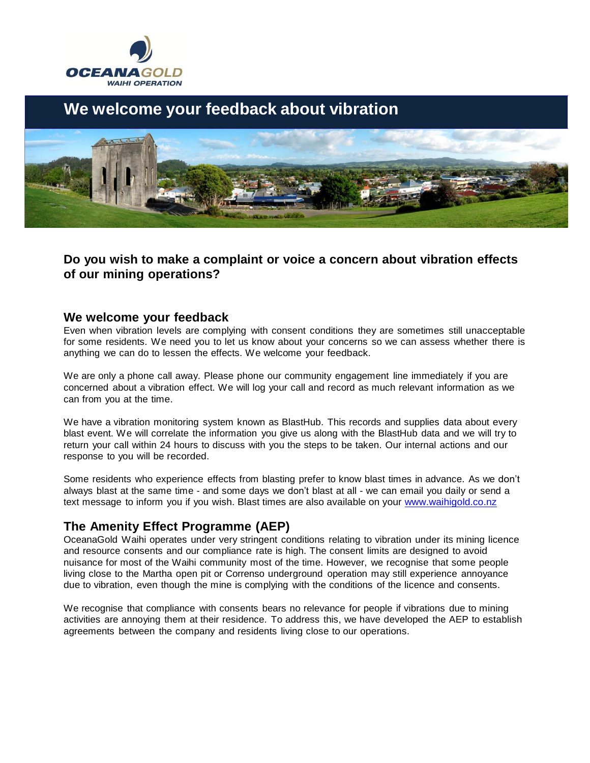

# **We welcome your feedback about vibration**



## **Do you wish to make a complaint or voice a concern about vibration effects of our mining operations?**

#### **We welcome your feedback**

Even when vibration levels are complying with consent conditions they are sometimes still unacceptable for some residents. We need you to let us know about your concerns so we can assess whether there is anything we can do to lessen the effects. We welcome your feedback.

We are only a phone call away. Please phone our community engagement line immediately if you are concerned about a vibration effect. We will log your call and record as much relevant information as we can from you at the time.

We have a vibration monitoring system known as BlastHub. This records and supplies data about every blast event. We will correlate the information you give us along with the BlastHub data and we will try to return your call within 24 hours to discuss with you the steps to be taken. Our internal actions and our response to you will be recorded.

Some residents who experience effects from blasting prefer to know blast times in advance. As we don't always blast at the same time - and some days we don't blast at all - we can email you daily or send a text message to inform you if you wish. Blast times are also available on your [www.waihigold.co.nz](http://www.waihigold.co.nz/)

## **The Amenity Effect Programme (AEP)**

OceanaGold Waihi operates under very stringent conditions relating to vibration under its mining licence and resource consents and our compliance rate is high. The consent limits are designed to avoid nuisance for most of the Waihi community most of the time. However, we recognise that some people living close to the Martha open pit or Correnso underground operation may still experience annoyance due to vibration, even though the mine is complying with the conditions of the licence and consents.

We recognise that compliance with consents bears no relevance for people if vibrations due to mining activities are annoying them at their residence. To address this, we have developed the AEP to establish agreements between the company and residents living close to our operations.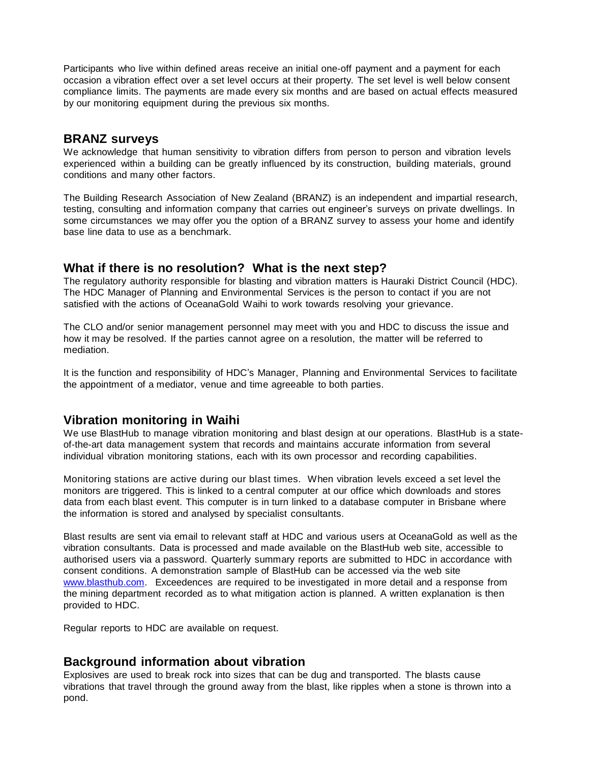Participants who live within defined areas receive an initial one-off payment and a payment for each occasion a vibration effect over a set level occurs at their property. The set level is well below consent compliance limits. The payments are made every six months and are based on actual effects measured by our monitoring equipment during the previous six months.

### **BRANZ surveys**

We acknowledge that human sensitivity to vibration differs from person to person and vibration levels experienced within a building can be greatly influenced by its construction, building materials, ground conditions and many other factors.

The Building Research Association of New Zealand (BRANZ) is an independent and impartial research, testing, consulting and information company that carries out engineer's surveys on private dwellings. In some circumstances we may offer you the option of a BRANZ survey to assess your home and identify base line data to use as a benchmark.

#### **What if there is no resolution? What is the next step?**

The regulatory authority responsible for blasting and vibration matters is Hauraki District Council (HDC). The HDC Manager of Planning and Environmental Services is the person to contact if you are not satisfied with the actions of OceanaGold Waihi to work towards resolving your grievance.

The CLO and/or senior management personnel may meet with you and HDC to discuss the issue and how it may be resolved. If the parties cannot agree on a resolution, the matter will be referred to mediation.

It is the function and responsibility of HDC's Manager, Planning and Environmental Services to facilitate the appointment of a mediator, venue and time agreeable to both parties.

## **Vibration monitoring in Waihi**

We use BlastHub to manage vibration monitoring and blast design at our operations. BlastHub is a stateof-the-art data management system that records and maintains accurate information from several individual vibration monitoring stations, each with its own processor and recording capabilities.

Monitoring stations are active during our blast times. When vibration levels exceed a set level the monitors are triggered. This is linked to a central computer at our office which downloads and stores data from each blast event. This computer is in turn linked to a database computer in Brisbane where the information is stored and analysed by specialist consultants.

Blast results are sent via email to relevant staff at HDC and various users at OceanaGold as well as the vibration consultants. Data is processed and made available on the BlastHub web site, accessible to authorised users via a password. Quarterly summary reports are submitted to HDC in accordance with consent conditions. A demonstration sample of BlastHub can be accessed via the web site [www.blasthub.com. E](http://www.blasthub.com/)xceedences are required to be investigated in more detail and a response from the mining department recorded as to what mitigation action is planned. A written explanation is then provided to HDC.

Regular reports to HDC are available on request.

## **Background information about vibration**

Explosives are used to break rock into sizes that can be dug and transported. The blasts cause vibrations that travel through the ground away from the blast, like ripples when a stone is thrown into a pond.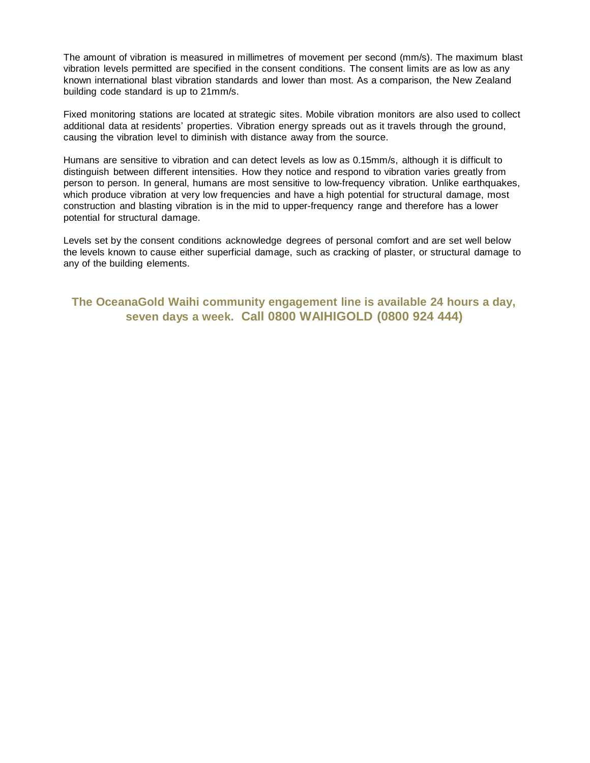The amount of vibration is measured in millimetres of movement per second (mm/s). The maximum blast vibration levels permitted are specified in the consent conditions. The consent limits are as low as any known international blast vibration standards and lower than most. As a comparison, the New Zealand building code standard is up to 21mm/s.

Fixed monitoring stations are located at strategic sites. Mobile vibration monitors are also used to collect additional data at residents' properties. Vibration energy spreads out as it travels through the ground, causing the vibration level to diminish with distance away from the source.

Humans are sensitive to vibration and can detect levels as low as 0.15mm/s, although it is difficult to distinguish between different intensities. How they notice and respond to vibration varies greatly from person to person. In general, humans are most sensitive to low-frequency vibration. Unlike earthquakes, which produce vibration at very low frequencies and have a high potential for structural damage, most construction and blasting vibration is in the mid to upper-frequency range and therefore has a lower potential for structural damage.

Levels set by the consent conditions acknowledge degrees of personal comfort and are set well below the levels known to cause either superficial damage, such as cracking of plaster, or structural damage to any of the building elements.

**The OceanaGold Waihi community engagement line is available 24 hours a day, seven days a week. Call 0800 WAIHIGOLD (0800 924 444)**